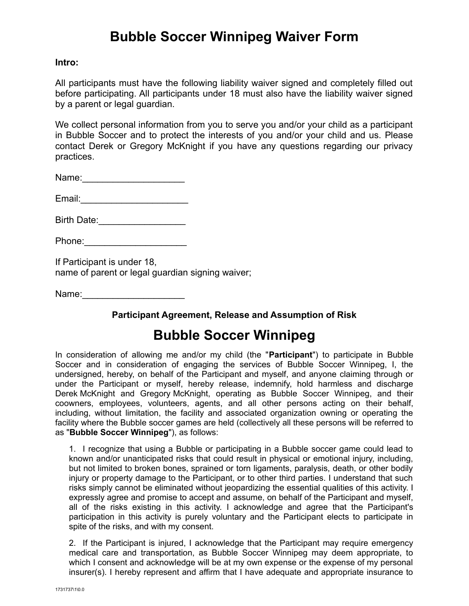# **Bubble Soccer Winnipeg Waiver Form**

### **Intro:**

All participants must have the following liability waiver signed and completely filled out before participating. All participants under 18 must also have the liability waiver signed by a parent or legal guardian.

We collect personal information from you to serve you and/or your child as a participant in Bubble Soccer and to protect the interests of you and/or your child and us. Please contact Derek or Gregory McKnight if you have any questions regarding our privacy practices.

Name:\_\_\_\_\_\_\_\_\_\_\_\_\_\_\_\_\_\_\_\_

Email:\_\_\_\_\_\_\_\_\_\_\_\_\_\_\_\_\_\_\_\_\_

Birth Date:\_\_\_\_\_\_\_\_\_\_\_\_\_\_\_\_\_

Phone:

If Participant is under 18, name of parent or legal guardian signing waiver;

Name:

### **Participant Agreement, Release and Assumption of Risk**

## **Bubble Soccer Winnipeg**

In consideration of allowing me and/or my child (the "**Participant**") to participate in Bubble Soccer and in consideration of engaging the services of Bubble Soccer Winnipeg, I, the undersigned, hereby, on behalf of the Participant and myself, and anyone claiming through or under the Participant or myself, hereby release, indemnify, hold harmless and discharge Derek McKnight and Gregory McKnight, operating as Bubble Soccer Winnipeg, and their coowners, employees, volunteers, agents, and all other persons acting on their behalf, including, without limitation, the facility and associated organization owning or operating the facility where the Bubble soccer games are held (collectively all these persons will be referred to as "**Bubble Soccer Winnipeg**"), as follows:

1. I recognize that using a Bubble or participating in a Bubble soccer game could lead to known and/or unanticipated risks that could result in physical or emotional injury, including, but not limited to broken bones, sprained or torn ligaments, paralysis, death, or other bodily injury or property damage to the Participant, or to other third parties. I understand that such risks simply cannot be eliminated without jeopardizing the essential qualities of this activity. I expressly agree and promise to accept and assume, on behalf of the Participant and myself, all of the risks existing in this activity. I acknowledge and agree that the Participant's participation in this activity is purely voluntary and the Participant elects to participate in spite of the risks, and with my consent.

2. If the Participant is injured, I acknowledge that the Participant may require emergency medical care and transportation, as Bubble Soccer Winnipeg may deem appropriate, to which I consent and acknowledge will be at my own expense or the expense of my personal insurer(s). I hereby represent and affirm that I have adequate and appropriate insurance to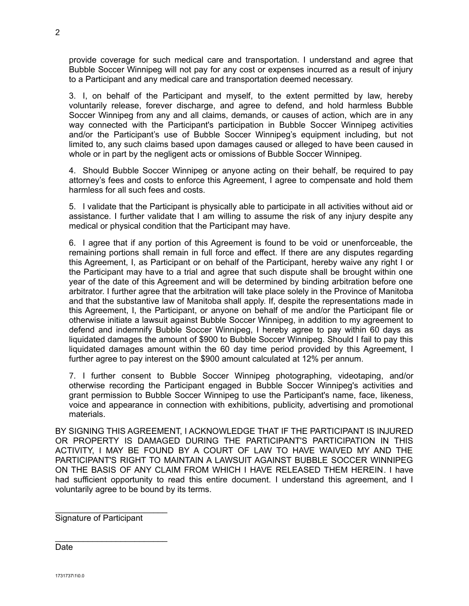provide coverage for such medical care and transportation. I understand and agree that Bubble Soccer Winnipeg will not pay for any cost or expenses incurred as a result of injury to a Participant and any medical care and transportation deemed necessary.

3. I, on behalf of the Participant and myself, to the extent permitted by law, hereby voluntarily release, forever discharge, and agree to defend, and hold harmless Bubble Soccer Winnipeg from any and all claims, demands, or causes of action, which are in any way connected with the Participant's participation in Bubble Soccer Winnipeg activities and/or the Participant's use of Bubble Soccer Winnipeg's equipment including, but not limited to, any such claims based upon damages caused or alleged to have been caused in whole or in part by the negligent acts or omissions of Bubble Soccer Winnipeg.

4. Should Bubble Soccer Winnipeg or anyone acting on their behalf, be required to pay attorney's fees and costs to enforce this Agreement, I agree to compensate and hold them harmless for all such fees and costs.

5. I validate that the Participant is physically able to participate in all activities without aid or assistance. I further validate that I am willing to assume the risk of any injury despite any medical or physical condition that the Participant may have.

6. I agree that if any portion of this Agreement is found to be void or unenforceable, the remaining portions shall remain in full force and effect. If there are any disputes regarding this Agreement, I, as Participant or on behalf of the Participant, hereby waive any right I or the Participant may have to a trial and agree that such dispute shall be brought within one year of the date of this Agreement and will be determined by binding arbitration before one arbitrator. I further agree that the arbitration will take place solely in the Province of Manitoba and that the substantive law of Manitoba shall apply. If, despite the representations made in this Agreement, I, the Participant, or anyone on behalf of me and/or the Participant file or otherwise initiate a lawsuit against Bubble Soccer Winnipeg, in addition to my agreement to defend and indemnify Bubble Soccer Winnipeg, I hereby agree to pay within 60 days as liquidated damages the amount of \$900 to Bubble Soccer Winnipeg. Should I fail to pay this liquidated damages amount within the 60 day time period provided by this Agreement, I further agree to pay interest on the \$900 amount calculated at 12% per annum.

7. I further consent to Bubble Soccer Winnipeg photographing, videotaping, and/or otherwise recording the Participant engaged in Bubble Soccer Winnipeg's activities and grant permission to Bubble Soccer Winnipeg to use the Participant's name, face, likeness, voice and appearance in connection with exhibitions, publicity, advertising and promotional materials.

BY SIGNING THIS AGREEMENT, I ACKNOWLEDGE THAT IF THE PARTICIPANT IS INJURED OR PROPERTY IS DAMAGED DURING THE PARTICIPANT'S PARTICIPATION IN THIS ACTIVITY, I MAY BE FOUND BY A COURT OF LAW TO HAVE WAIVED MY AND THE PARTICIPANT'S RIGHT TO MAINTAIN A LAWSUIT AGAINST BUBBLE SOCCER WINNIPEG ON THE BASIS OF ANY CLAIM FROM WHICH I HAVE RELEASED THEM HEREIN. I have had sufficient opportunity to read this entire document. I understand this agreement, and I voluntarily agree to be bound by its terms.

Signature of Participant

\_\_\_\_\_\_\_\_\_\_\_\_\_\_\_\_\_\_\_\_\_\_\_\_

\_\_\_\_\_\_\_\_\_\_\_\_\_\_\_\_\_\_\_\_\_\_\_\_

Date